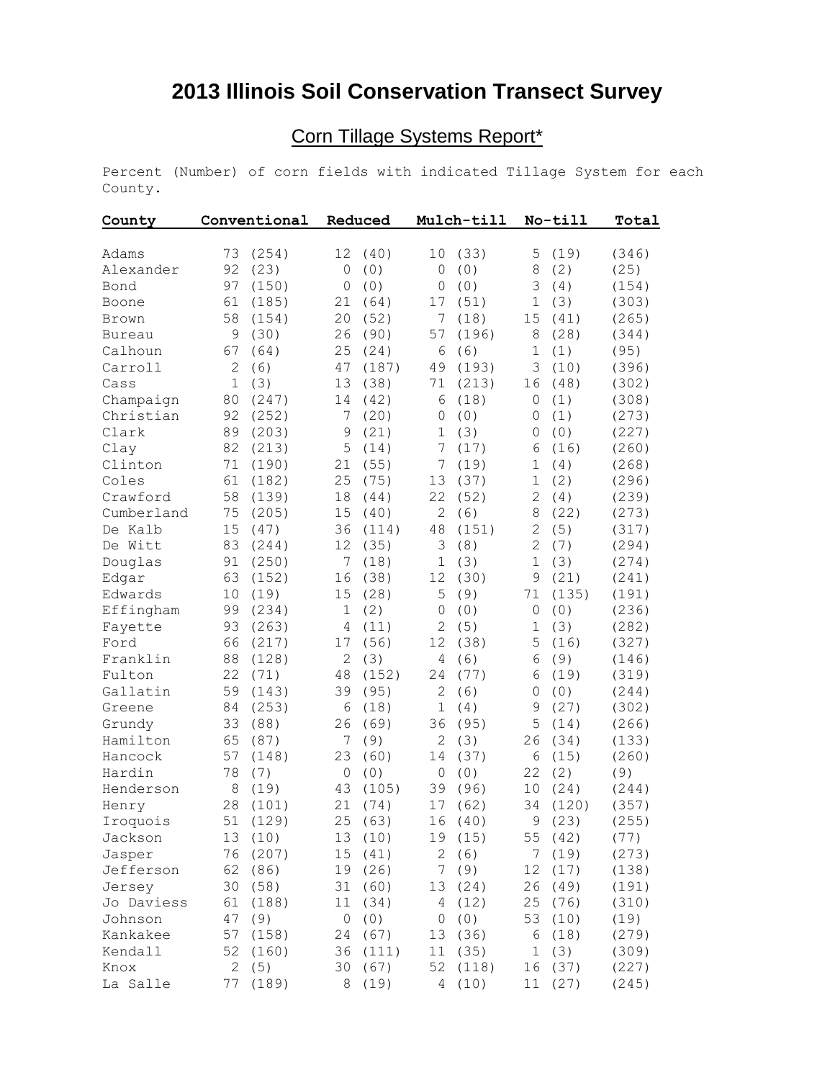## **2013 Illinois Soil Conservation Transect Survey**

## Corn Tillage Systems Report\*

Percent (Number) of corn fields with indicated Tillage System for each County.

| County        | Conventional |          | Reduced        |          | Mulch-till     |          | No-till        |         | Total |  |
|---------------|--------------|----------|----------------|----------|----------------|----------|----------------|---------|-------|--|
| Adams         | 73           | (254)    | 12             | (40)     | 10             | (33)     | 5              | (19)    | (346) |  |
| Alexander     | 92           | (23)     | $\circ$        | (0)      | $\circ$        | (0)      | 8              | (2)     | (25)  |  |
| Bond          | 97           | (150)    | $\overline{0}$ | (0)      | $\mathbf 0$    | (0)      | 3              | (4)     | (154) |  |
| Boone         | 61           | (185)    | 21             | (64)     | 17             | (51)     | $\mathbf 1$    | (3)     | (303) |  |
| Brown         | 58           | (154)    | 20             | (52)     | 7              | (18)     | 15             | (41)    | (265) |  |
| <b>Bureau</b> | 9            | (30)     | 26             | (90)     | 57             | (196)    | 8              | (28)    | (344) |  |
| Calhoun       | 67           | (64)     | 25             | (24)     | 6              | (6)      | $\mathbf 1$    | (1)     | (95)  |  |
| Carroll       | 2            | (6)      | 47             | (187)    | 49             | (193)    | 3              | (10)    | (396) |  |
| Cass          | $\mathbf 1$  | (3)      | 13             | (38)     | 71             | (213)    | 16             | (48)    | (302) |  |
| Champaign     | 80           | (247)    | 14             | (42)     | 6              | (18)     | 0              | (1)     | (308) |  |
| Christian     | 92           | (252)    | 7              | (20)     | $\mathbf 0$    | (0)      | 0              | (1)     | (273) |  |
| Clark         | 89           | (203)    | $\mathsf 9$    | (21)     | $\mathbf{1}$   | (3)      | $\mathbf{0}$   | (0)     | (227) |  |
| Clay          | 82           | (213)    | 5              | (14)     | 7              | (17)     | 6              | (16)    | (260) |  |
| Clinton       | 71           | (190)    | 21             | (55)     | 7              | (19)     | $\mathbf 1$    | (4)     | (268) |  |
| Coles         | 61           | (182)    | 25             | (75)     | 13             | (37)     | $\mathbf 1$    | (2)     | (296) |  |
| Crawford      | 58           | (139)    | 18             | (44)     | 22             | (52)     | $\overline{2}$ | (4)     | (239) |  |
| Cumberland    | 75           | (205)    | 15             | (40)     | $\overline{c}$ | (6)      | 8              | (22)    | (273) |  |
| De Kalb       | 15           | (47)     | 36             | (114)    | 48             | (151)    | $\overline{c}$ | (5)     | (317) |  |
| De Witt       | 83           | (244)    | 12             | (35)     | 3              | (8)      | $\overline{2}$ | (7)     | (294) |  |
| Douglas       | 91           | (250)    | 7              | (18)     | $\mathbf 1$    | (3)      | $\mathbf 1$    | (3)     | (274) |  |
| Edgar         | 63           | (152)    | 16             | (38)     | 12             | (30)     | 9              | (21)    | (241) |  |
| Edwards       | 10           | (19)     | 15             | (28)     | 5              | (9)      | 71             | (135)   | (191) |  |
| Effingham     | 99           | (234)    | $\mathbf 1$    | (2)      | $\mathbf 0$    | (0)      | 0              | (0)     | (236) |  |
| Fayette       | 93           | (263)    | 4              | (11)     | $\overline{c}$ | (5)      | 1              | (3)     | (282) |  |
| Ford          | 66           | (217)    | 17             | (56)     | 12             | (38)     | 5              | (16)    | (327) |  |
| Franklin      | 88           | (128)    | $\mathbf{2}$   | (3)      | 4              | (6)      | 6              | (9)     | (146) |  |
| Fulton        | 22           | (71)     | 48             | (152)    | 24             | (77)     | 6              | (19)    | (319) |  |
| Gallatin      | 59           | (143)    | 39             | (95)     | $\overline{c}$ | (6)      | 0              | (0)     | (244) |  |
| Greene        | 84           | (253)    | 6              | (18)     | $1\,$          | (4)      | 9              | (27)    | (302) |  |
| Grundy        | 33           | (88)     | 26             | (69)     | 36             | (95)     | 5              | (14)    | (266) |  |
| Hamilton      | 65           | (87)     | 7              | (9)      | $\mathbf{2}$   | (3)      | 26             | (34)    | (133) |  |
| Hancock       | 57           | (148)    | 23             | (60)     | 14             | (37)     | 6              | (15)    | (260) |  |
| Hardin        | 78           | (7)      | $\mathbb O$    | (0)      | 0              | (0)      | 22             | (2)     | (9)   |  |
| Henderson     | 8            | (19)     | 43             | (105)    | 39             | (96)     | 10             | (24)    | (244) |  |
| Henry         | 28           | (101)    | 21             | (74)     | 17             | (62)     | 34             | (120)   | (357) |  |
| Iroquois      |              | 51 (129) |                | 25 (63)  |                | 16(40)   |                | 9 (23)  | (255) |  |
| Jackson       | 13           | (10)     |                | 13 (10)  |                | 19 (15)  |                | 55 (42) | (77)  |  |
| Jasper        | 76           | (207)    |                | 15(41)   | 2(6)           |          |                | 7 (19)  | (273) |  |
| Jefferson     | 62           | (86)     |                | 19 (26)  |                | 7 (9)    | 12             | (17)    | (138) |  |
| Jersey        | 30           | (58)     |                | 31 (60)  |                | 13 (24)  |                | 26 (49) | (191) |  |
| Jo Daviess    | 61           | (188)    |                | 11 (34)  |                | 4 (12)   |                | 25 (76) | (310) |  |
| Johnson       | 47           | (9)      |                | 0(0)     |                | 0(0)     |                | 53 (10) | (19)  |  |
| Kankakee      | 57           | (158)    |                | 24 (67)  |                | 13 (36)  |                | 6 (18)  | (279) |  |
| Kendall       | 52           | (160)    |                | 36 (111) |                | 11 (35)  |                | 1(3)    | (309) |  |
| Knox          | 2            | (5)      |                | 30 (67)  |                | 52 (118) |                | 16 (37) | (227) |  |
| La Salle      | 77           | (189)    |                | 8 (19)   |                | 4 (10)   |                | 11 (27) | (245) |  |